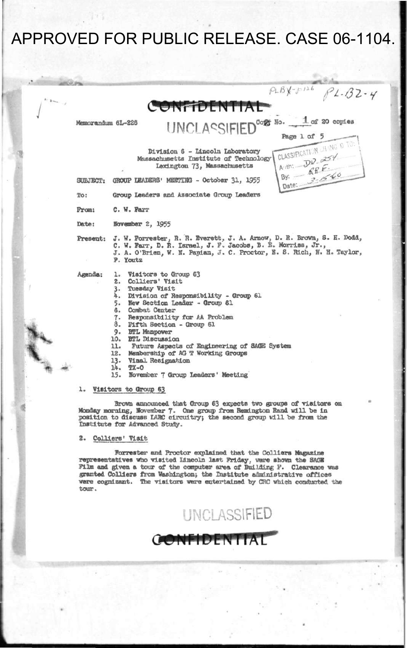|         |                   | $P L B X - P P A B P L - B Z - Y$                                                                                                                                                                                                                                                                                                                                                                                                                                                             |
|---------|-------------------|-----------------------------------------------------------------------------------------------------------------------------------------------------------------------------------------------------------------------------------------------------------------------------------------------------------------------------------------------------------------------------------------------------------------------------------------------------------------------------------------------|
| $2 - 1$ |                   | CONFIDENTIAL                                                                                                                                                                                                                                                                                                                                                                                                                                                                                  |
|         | Memorandum 6L-226 | UNCLASSIFIED <sup>cor No.</sup> 1 or 20 copies<br>Page 1 of 5                                                                                                                                                                                                                                                                                                                                                                                                                                 |
|         |                   | CLASSIFICATION UH ING O TO:<br>Division 6 - Lincoln Laboratory<br>Aith: DD. 25%<br>Massachusetts Institute of Technology<br>By: $66E$<br>Lexington 73, Massachusetts<br>Date: 3-60                                                                                                                                                                                                                                                                                                            |
|         | SUBJECT:          | GROUP LEADERS' MEETING - October 31, 1955                                                                                                                                                                                                                                                                                                                                                                                                                                                     |
|         | To:               | Group Leaders and Associate Group Leaders                                                                                                                                                                                                                                                                                                                                                                                                                                                     |
|         | From:             | C. W. Farr                                                                                                                                                                                                                                                                                                                                                                                                                                                                                    |
|         | Date:             | November 2, 1955                                                                                                                                                                                                                                                                                                                                                                                                                                                                              |
|         |                   | Present: J. W. Forrester, R. R. Everett, J. A. Arnow, D. R. Brown, S. H. Dodd,<br>C. W. Farr, D. R. Israel, J. F. Jacobs, B. E. Morriss, Jr.,<br>J. A. O'Brien, W. N. Papian, J. C. Proctor, E. S. Rich, N. H. Taylor,<br>P. Youtz                                                                                                                                                                                                                                                            |
|         | Agenda:           | Visitors to Group 63<br>l.<br>Colliers' Visit<br>2.5<br>Tuesday Visit<br>3.<br>4.<br>Division of Responsibility - Group 61<br>New Section Leader - Group 61<br>5.<br>6. Combat Center<br>7. Responsibility for AA Problem<br>8.<br>Fifth Section - Group 61<br>9. BTL Manpower<br>10. BTL Discussion<br>11.<br>Future Aspects of Engineering of SAGE System<br>12. Membership of AG T Working Groups<br>13.<br>Vinal Resignation<br>14.<br>$TX-O$<br>November 7 Group Leaders' Meeting<br>15. |

### **1. Visitors to Group 63**

**Brown announced that Group 63 expects two groups of visitors on Monday morning, November 7. One group from Remington Rand will be in position to discuss LARC circuitry) the second group will be from the Institute for Advanced Study.** 

### **2. Colliers' Visit**

**Forrester and Proctor explained that the Colliers Magazine representatives who visited Lincoln last Friday, were shown the SACS Film and given a tour of the computer area of Building P. Clearance was granted Colliers from Washington; the Institute administrative offices were cognizant. The visitors were entertained by CRC which conducted the tour.** 

**GONFIDENTIAL** 

**UNCLASSIFIED**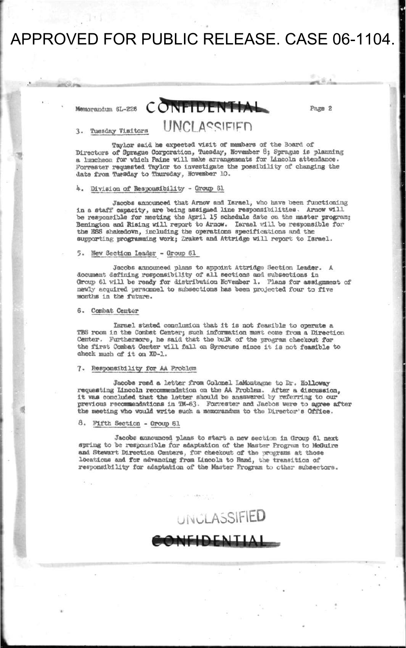## **Memorandum SL-226 CONFIDENTIAL** Page 2

UNCI ASSIFIED

### **3. Tuesday Visitors**

**Taylor said be expected visit of members of the Board of Directors of Sprague Corporation, Tuesday, Kovember 8; Sprague Is planning a luncheon for which Paine will make arrangements for Lincoln attendance. Forrester requested Taylor to investigate the possibility of changing the date from Tuesday to Thursday, Hovember 10.** 

### *k.* **OlvlBlon of Responsibility - Group 61**

Jacobs announced that Arnow and Israel, who have been functioning **in a staff capacity, are being assigned line responsibilities, Arnov will be responsible for meeting the April 15 schedule date on the master program; Benlngton and Rising will report to Arnow. Israel will be responsible for the 38S shakedown, including the operations specifications and the supporting programming work:; Zraket and Attrtdge will report to Israel.** 

#### **5. Hew 3ectlon leader - Group 61**

**Jacobs announced plans to appoint Attridgs Section Leader. A document defining responsibility of all sections and subsections in**  Group 61 will be ready for distribution November 1. Plans for assignment of **newly acquired personnel to subsections has been projected four to five months In the future.** 

### **6. Combat Center**

**Israel stated conclusion that it is not feasible to operate a TBS room in the Combat Center; such information must come from a Direction Center. Furthermore, he said that the bulk of the program checkout for the first Combat Center will fall on Syracuse since It la not feasible to check much of it on XD-1.** 

### **7\* Responsibility for AA Problem**

Jacobs read a letter from Colonel LaMontagne to Dr. Holloway **requesting Lincoln recommendation on the AA Problem. After a discussion, it was concluded that the latter should be ansswered by referring to our previous recommendations In TM-63- Forrester and Jacbos were to agree after the meeting who would write such a memorandum to the Director's Office.** 

**8. Fifth Section - Croup 61** 

**Jacobs announced plans to start a new section in Group 61 next spring to be responsible for adaptation of the Master Program to McGulre and Stewart Direction Centers, for checkout of the programs at those locations and for advancing from Lincoln to Rand, the transition of responsibility for adaptation of the Master Program to ether subsectors.** 

**UNCLASSIFIED** 

**NEIDENTIA**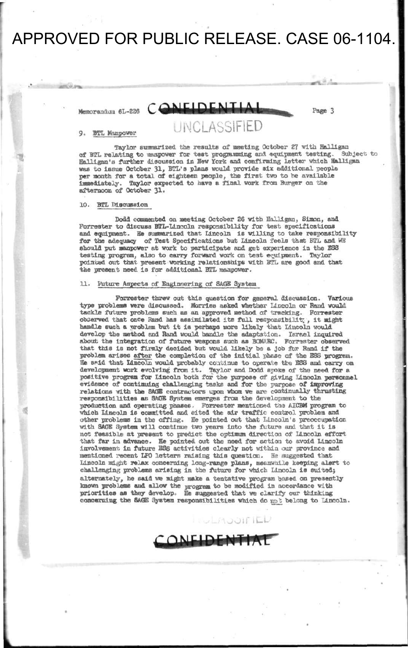## **Memorandum 6L-226** CONFIDENTIAL **Page 3**

### 9. BTL Manpower UNCLASSIFIED

Taylor summarized the results of meeting October 27 with Halligan at the mean owner for test programming and equipment testing. Subject to of BTL relating to manpower for test programming and equipment testing. **Halligan'a further discussion in Hew York and confirming letter which Halligan was to issue October 31, BTL's plans would provide six additional people per month for a total of eighteen people, the first two to be available immediately. Taylor expected to have a final work from Burger on the afternoon of October 31.** 

#### **10. BTL Discussion**

**Dodd commented on meeting October 26 with HalHgan, Simon, and Forrester to discuss BTL-Lincoln responsibility for test specifications and equipment. He summarized that Lincoln is willing to take responsibility for the adequacy of Test Specifications but Lincoln feels that BTL and WB should put manpower at work to participate and get experience in the ESS testing program, also to carry forward work on test equipment. Taylor pointed out that present working relationships with BTL are good and that the present need is for additional BTL manpower.** 

### **11. Future Aspects of Engineering of 3AQB System**

**Forrester threw out this question for general discussion. Various type problems were discussed. Morrlss asked whether Lincoln or Band would tackle future problems such as an approved method of tracking. Forrester observed that once Rand has assimilated its full responsibility, it might handle such a problem but it is perhaps more likely that Lincoln would develop the method and Rand would handle the adaptation. Israel inquired about the Integration of future weapons such as BOKARC. Forrester observed that this Is not firmly decided but would likely be a Job for Rand if the problem arises after the completion of the Initial phase of the ESS program. He SRld that Lincoln would probably continue to operate toe ESS and carry on**  development work evolving from it. Taylor and Dodd spoke of the need for a **positive program for Lincoln both for the purpose of giving Lincoln personnel evidence of continuing challenging tasks and for the purpose of improving relations with the SAGE contractors upon whom we are continually thrusting responsibilities as SAGS System emerges from the development to the production and operating phases. Forrester mentioned the AXCBM program to which Lincoln Is committed and cited the air traffic control problem and other problems in the offing. He pointed out that Lincoln's preoccupation with SAGS System will continue two years into the future and that it is not feasible at present to predict the optimum direction of Lincoln effort that far In advance. He pointed out the need for action to avoid Lincoln Involvement. In future ESS activities clearly not within our province and mentioned recent LFO letters raising this question. He suggested that Lincoln might relax concerning long-range plans, meanwhile keeping alert to challenging problems arising In the future for which Lincoln is suited} alternately, he said we might make a tentative program based on presently known problems and allow the program to be modified In accordance with priorities as they develop. He suggested that we clarify our thinking concerning the SAGE 3ystem responsibilities which do** *tip}* **belong to Lincoln.** 

**ONFIDENTIA** 

**ULAJOIFIED**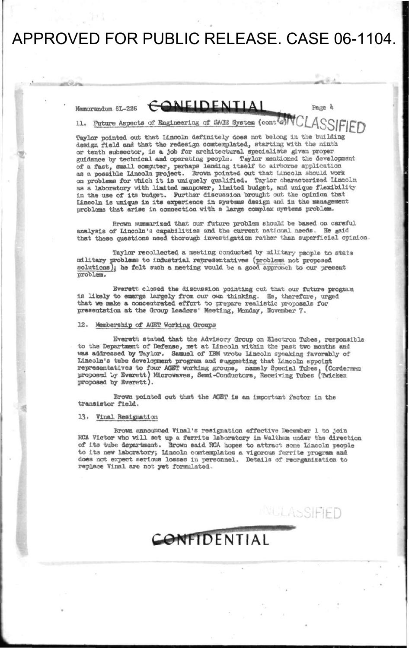and Girls

 $M$ emorandum 6L-226  $COMFIDENTIA$ 

**-**

**Page**  $4$ 

11. Future Aspects of Engineering of SACE System (cont<sup>[a]</sup>

**Taylor pointed out that Lincoln definitely does not belong in the building design field and that the redesign comtesnplated, stertlng with the ninth or tenth subsector, is a job for architectural specialists given proper guidance by technical and operating people. Taylor mentioned the development of a fast, snail computer, perhaps lending Itself to airborne application as a possible Lincoln project. Brown pointed out that Lincoln should work on problems for which it is uniquely qualified. Taylor characterised Lincoln as a laboratory with limited manpower, limited budget, and unique flexibility**  in the use of its budget. Further discussion brought out the opinion that Lincoln is unique in its experience in systems design and in the management **problems that arise in connection with a large complex systems problem.** 

**Brown Burnmarleed that our future problem should be based on careful**  analysis of Lincoln's capabilities and the current national needs. He said **that these questions need thorough investigation rather than superficial opinion** 

**Taylor recollected a meeting conducted by military people to state military problems to industrial representatives (problems not proposed solutions); he felt such a meeting would be a good approach to our present problem.** 

**Everett closed the discussion pointing cut that our future program is likely to emerge largely from our own thinking. Ha, therefore, urged that we make a concentrated effort to prepare realistic proposals for presentation at the Oroup Leaders' Meeting, Monday, Bbveaber 7»** 

### 12. Membership of AHET Working Groups

**Everett, stated that the Advisory Group on Electron Tubes, responsible**  to the Department of Defense, met at Lincoln within the past two months and **was addressed by Taylor. Samuel of IBM wrote Lincoln speaking favorably of Lincoln's tube development program and suggesting that Lincoln appoint representative a to four AGHST working groups, namely Special Tubes, (Cordemnn proposed Iqr Everett) Microwaves, Seal-Conductors, Receiving Tubes (Tvicken proposed by Everett).** 

**Brown pointed out that the AQET Is an Important factor in the transistor field.** 

### **13. Ylnal Resignation**

**Brown announced Vinal's resignation effective December 1 to join RCA Victor who will set up a ferrtte laboratory in Walthem under the direction of its tube department. Brown said RCA hopes to attract soce Lincoln people**  to its new laboratory; Lincoln comtemplates a vigorous ferrite program and **does not expect serious losses in personnel. Details of reorganieatlon to replace Vlnal are not yet formulated.** 

CONFIDENTIAL

WULASSIFIFD